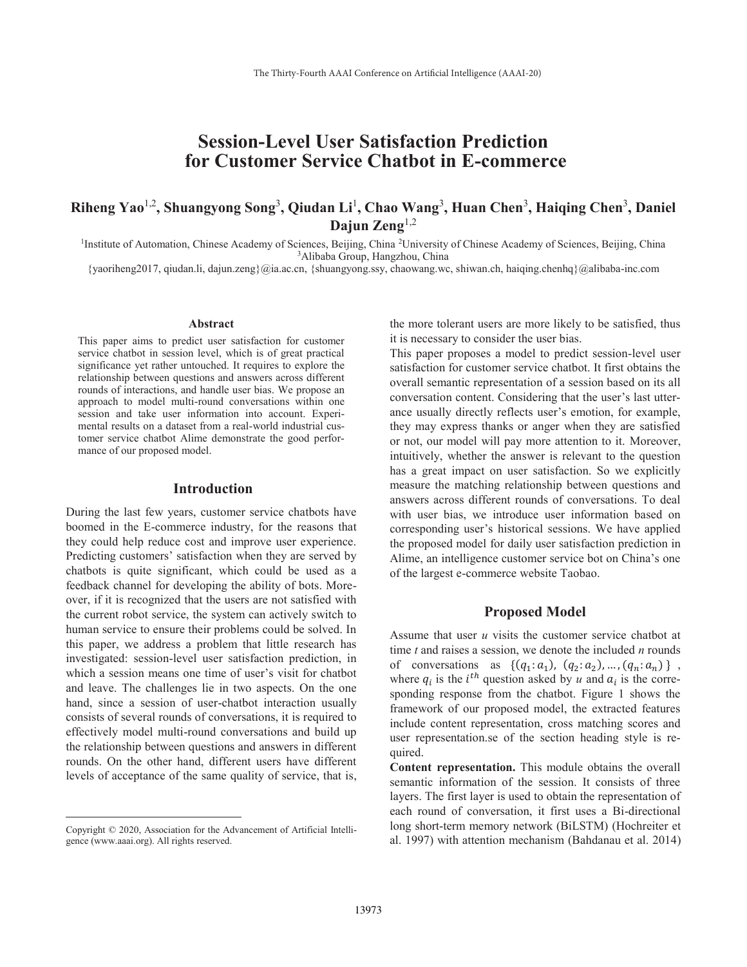# **Session-Level User Satisfaction Prediction for Customer Service Chatbot in E-commerce**

# **Riheng Yao**1,2**, Shuangyong Song**<sup>3</sup> **, Qiudan Li**<sup>1</sup> **, Chao Wang**<sup>3</sup> **, Huan Chen**<sup>3</sup> **, Haiqing Chen**<sup>3</sup> **, Daniel Dajun Zeng**1,2

<sup>1</sup>Institute of Automation, Chinese Academy of Sciences, Beijing, China <sup>2</sup>University of Chinese Academy of Sciences, Beijing, China <sup>3</sup>Alibaba Group, Hangzhou, China

{yaoriheng2017, qiudan.li, dajun.zeng}@ia.ac.cn, {shuangyong.ssy, chaowang.wc, shiwan.ch, haiqing.chenhq}@alibaba-inc.com

#### **Abstract**

This paper aims to predict user satisfaction for customer service chatbot in session level, which is of great practical significance yet rather untouched. It requires to explore the relationship between questions and answers across different rounds of interactions, and handle user bias. We propose an approach to model multi-round conversations within one session and take user information into account. Experimental results on a dataset from a real-world industrial customer service chatbot Alime demonstrate the good performance of our proposed model.

#### **Introduction**

During the last few years, customer service chatbots have boomed in the E-commerce industry, for the reasons that they could help reduce cost and improve user experience. Predicting customers' satisfaction when they are served by chatbots is quite significant, which could be used as a feedback channel for developing the ability of bots. Moreover, if it is recognized that the users are not satisfied with the current robot service, the system can actively switch to human service to ensure their problems could be solved. In this paper, we address a problem that little research has investigated: session-level user satisfaction prediction, in which a session means one time of user's visit for chatbot and leave. The challenges lie in two aspects. On the one hand, since a session of user-chatbot interaction usually consists of several rounds of conversations, it is required to effectively model multi-round conversations and build up the relationship between questions and answers in different rounds. On the other hand, different users have different levels of acceptance of the same quality of service, that is,

 $\overline{a}$ 

the more tolerant users are more likely to be satisfied, thus it is necessary to consider the user bias.

This paper proposes a model to predict session-level user satisfaction for customer service chatbot. It first obtains the overall semantic representation of a session based on its all conversation content. Considering that the user's last utterance usually directly reflects user's emotion, for example, they may express thanks or anger when they are satisfied or not, our model will pay more attention to it. Moreover, intuitively, whether the answer is relevant to the question has a great impact on user satisfaction. So we explicitly measure the matching relationship between questions and answers across different rounds of conversations. To deal with user bias, we introduce user information based on corresponding user's historical sessions. We have applied the proposed model for daily user satisfaction prediction in Alime, an intelligence customer service bot on China's one of the largest e-commerce website Taobao.

#### **Proposed Model**

Assume that user *u* visits the customer service chatbot at time *t* and raises a session, we denote the included *n* rounds of conversations as  $\{(q_1: a_1), (q_2: a_2), ..., (q_n: a_n)\}\$ , where  $q_i$  is the  $i^{th}$  question asked by *u* and  $a_i$  is the corresponding response from the chatbot. Figure 1 shows the framework of our proposed model, the extracted features include content representation, cross matching scores and user representation.se of the section heading style is required.

**Content representation.** This module obtains the overall semantic information of the session. It consists of three layers. The first layer is used to obtain the representation of each round of conversation, it first uses a Bi-directional long short-term memory network (BiLSTM) (Hochreiter et al. 1997) with attention mechanism (Bahdanau et al. 2014)

Copyright © 2020, Association for the Advancement of Artificial Intelligence (www.aaai.org). All rights reserved.